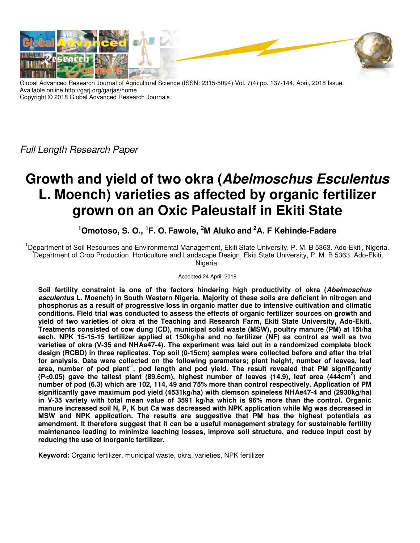

Global Advanced Research Journal of Agricultural Science (ISSN: 2315-5094) Vol. 7(4) pp. 137-144, April, 2018 Issue. Available online http://garj.org/garjas/home Copyright © 2018 Global Advanced Research Journals

*Full Length Research Paper*

# **Growth and yield of two okra (Abelmoschus Esculentus L. Moench) varieties as affected by organic fertilizer grown on an Oxic Paleustalf in Ekiti State**

# **<sup>1</sup>Omotoso, S. O., <sup>1</sup> F. O. Fawole, <sup>2</sup>M Aluko and<sup>2</sup>A. F Kehinde-Fadare**

<sup>1</sup>Department of Soil Resources and Environmental Management, Ekiti State University, P. M. B 5363. Ado-Ekiti, Nigeria. <sup>2</sup>Department of Crop Production, Horticulture and Landscape Design, Ekiti State University, P. M. B 5363. Ado-Ekiti, Nigeria.

Accepted 24 April, 2018

**Soil fertility constraint is one of the factors hindering high productivity of okra (Abelmoschus esculentus L. Moench) in South Western Nigeria. Majority of these soils are deficient in nitrogen and phosphorus as a result of progressive loss in organic matter due to intensive cultivation and climatic conditions. Field trial was conducted to assess the effects of organic fertilizer sources on growth and yield of two varieties of okra at the Teaching and Research Farm, Ekiti State University, Ado-Ekiti. Treatments consisted of cow dung (CD), municipal solid waste (MSW), poultry manure (PM) at 15t/ha each, NPK 15-15-15 fertilizer applied at 150kg/ha and no fertilizer (NF) as control as well as two varieties of okra (V-35 and NHAe47-4). The experiment was laid out in a randomized complete block design (RCBD) in three replicates. Top soil (0-15cm) samples were collected before and after the trial for analysis. Data were collected on the following parameters; plant height, number of leaves, leaf area, number of pod plant-1, pod length and pod yield. The result revealed that PM significantly (P<0.05) gave the tallest plant (89.6cm), highest number of leaves (14.9), leaf area (444cm<sup>2</sup> ) and number of pod (6.3) which are 102, 114, 49 and 75% more than control respectively. Application of PM significantly gave maximum pod yield (4531kg/ha) with clemson spineless NHAe47-4 and (2930kg/ha) in V-35 variety with total mean value of 3591 kg/ha which is 96% more than the control. Organic manure increased soil N, P, K but Ca was decreased with NPK application while Mg was decreased in MSW and NPK application. The results are suggestive that PM has the highest potentials as amendment. It therefore suggest that it can be a useful management strategy for sustainable fertility maintenance leading to minimize leaching losses, improve soil structure, and reduce input cost by reducing the use of inorganic fertilizer.** 

**Keyword:** Organic fertilizer, municipal waste, okra, varieties, NPK fertilizer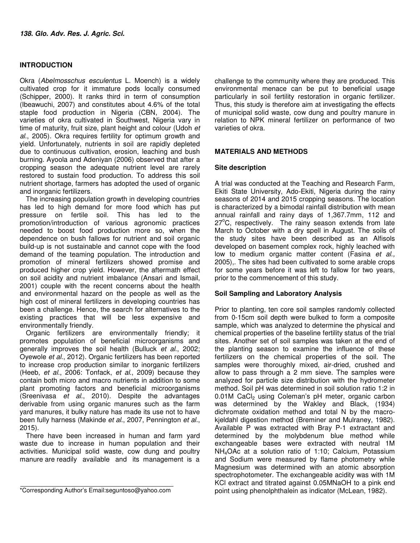## **INTRODUCTION**

Okra (*Abelmosschus esculentus* L. Moench) is a widely cultivated crop for it immature pods locally consumed (Schipper, 2000). It ranks third in term of consumption (Ibeawuchi, 2007) and constitutes about 4.6% of the total staple food production in Nigeria (CBN, 2004). The varieties of okra cultivated in Southwest, Nigeria vary in time of maturity, fruit size, plant height and colour (Udoh *et al*., 2005). Okra requires fertility for optimum growth and yield. Unfortunately, nutrients in soil are rapidly depleted due to continuous cultivation, erosion, leaching and bush burning. Ayoola and Adeniyan (2006) observed that after a cropping season the adequate nutrient level are rarely restored to sustain food production. To address this soil nutrient shortage, farmers has adopted the used of organic and inorganic fertilizers.

The increasing population growth in developing countries has led to high demand for more food which has put pressure on fertile soil. This has led to the promotion/introduction of various agronomic practices needed to boost food production more so, when the dependence on bush fallows for nutrient and soil organic build-up is not sustainable and cannot cope with the food demand of the teaming population. The introduction and promotion of mineral fertilizers showed promise and produced higher crop yield. However, the aftermath effect on soil acidity and nutrient imbalance (Ansari and Ismail, 2001) couple with the recent concerns about the health and environmental hazard on the people as well as the high cost of mineral fertilizers in developing countries has been a challenge. Hence, the search for alternatives to the existing practices that will be less expensive and environmentally friendly.

Organic fertilizers are environmentally friendly; it promotes population of beneficial microorganisms and generally improves the soil health (Bulluck *et al*., 2002; Oyewole *et al*., 2012). Organic fertilizers has been reported to increase crop production similar to inorganic fertilizers (Heeb, *et al*., 2006: Tonfack, *et al*., 2009) because they contain both micro and macro nutrients in addition to some plant promoting factors and beneficial microorganisms (Sreenivasa *et al*., 2010). Despite the advantages derivable from using organic manures such as the farm yard manures, it bulky nature has made its use not to have been fully harness (Makinde *et al*., 2007, Pennington *et al*., 2015).

There have been increased in human and farm yard waste due to increase in human population and their activities. Municipal solid waste, cow dung and poultry manure are readily available and its management is a

challenge to the community where they are produced. This environmental menace can be put to beneficial usage particularly in soil fertility restoration in organic fertilizer. Thus, this study is therefore aim at investigating the effects of municipal solid waste, cow dung and poultry manure in relation to NPK mineral fertilizer on performance of two varieties of okra.

#### **MATERIALS AND METHODS**

#### **Site description**

A trial was conducted at the Teaching and Research Farm, Ekiti State University, Ado-Ekiti, Nigeria during the rainy seasons of 2014 and 2015 cropping seasons. The location is characterized by a bimodal rainfall distribution with mean annual rainfall and rainy days of 1,367.7mm, 112 and  $27^{\circ}$ C, respectively. The rainy season extends from late March to October with a dry spell in August. The soils of the study sites have been described as an Alfisols developed on basement complex rock, highly leached with low to medium organic matter content (Fasina *et al.,* 2005),. The sites had been cultivated to some arable crops for some years before it was left to fallow for two years, prior to the commencement of this study.

# **Soil Sampling and Laboratory Analysis**

Prior to planting, ten core soil samples randomly collected from 0-15cm soil depth were bulked to form a composite sample, which was analyzed to determine the physical and chemical properties of the baseline fertility status of the trial sites. Another set of soil samples was taken at the end of the planting season to examine the influence of these fertilizers on the chemical properties of the soil. The samples were thoroughly mixed, air-dried, crushed and allow to pass through a 2 mm sieve. The samples were analyzed for particle size distribution with the hydrometer method. Soil pH was determined in soil solution ratio 1:2 in 0.01M CaCl<sub>2</sub> using Coleman's pH meter, organic carbon was determined by the Wakley and Black, (1934) dichromate oxidation method and total N by the macrokjeldahl digestion method (Breminer and Mulraney, 1982). Available P was extracted with Bray P-1 extractant and determined by the molybdenum blue method while exchangeable bases were extracted with neutral 1M NH4OAc at a solution ratio of 1:10; Calcium, Potassium and Sodium were measured by flame photometry while Magnesium was determined with an atomic absorption spectrophotometer. The exchangeable acidity was with 1M KCl extract and titrated against 0.05MNaOH to a pink end point using phenolphthalein as indicator (McLean, 1982).

<sup>\*</sup>Corresponding Author's Email:seguntoso@yahoo.com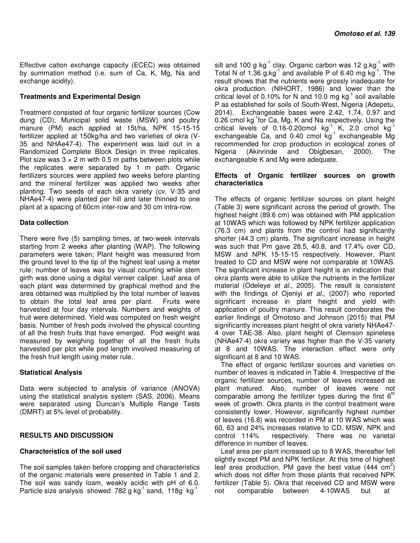Effective cation exchange capacity (ECEC) was obtained by summation method (i.e. sum of Ca, K, Mg, Na and exchange acidity).

#### **Treatments and Experimental Design**

Treatment consisted of four organic fertilizer sources (Cow dung (CD), Municipal solid waste (MSW) and poultry manure (PM) each applied at 15t/ha, NPK 15-15-15 fertilizer applied at 150kg/ha and two varieties of okra (V-35 and NHAe47-4). The experiment was laid out in a Randomized Complete Block Design in three replicates. Plot size was  $3 \times 2$  m with 0.5 m paths between plots while the replicates were separated by 1 m path. Organic fertilizers sources were applied two weeks before planting and the mineral fertilizer was applied two weeks after planting. Two seeds of each okra variety (cv. V-35 and NHAe47-4) were planted per hill and later thinned to one plant at a spacing of 60cm inter-row and 30 cm intra-row.

#### **Data collection**

There were five (5) sampling times, at two-week intervals starting from 2 weeks after planting (WAP). The following parameters were taken; Plant height was measured from the ground level to the tip of the highest leaf using a meter rule; number of leaves was by visual counting while stem girth was done using a digital vernier caliper. Leaf area of each plant was determined by graphical method and the area obtained was multiplied by the total number of leaves to obtain the total leaf area per plant. Fruits were harvested at four day intervals. Numbers and weights of fruit were determined. Yield was computed on fresh weight basis. Number of fresh pods involved the physical counting of all the fresh fruits that have emerged. Pod weight was measured by weighing together of all the fresh fruits harvested per plot while pod length involved measuring of the fresh fruit length using meter rule.

#### **Statistical Analysis**

Data were subjected to analysis of variance (ANOVA) using the statistical analysis system (SAS, 2006). Means were separated using Duncan's Multiple Range Tests (DMRT) at 5% level of probability.

#### **RESULTS AND DISCUSSION**

#### **Characteristics of the soil used**

The soil samples taken before cropping and characteristics of the organic materials were presented in Table 1 and 2. The soil was sandy loam, weakly acidic with pH of 6.0. Particle size analysis showed 782 g kg<sup>-1</sup> sand, 118g kg<sup>-1</sup>

silt and 100 g kg $^{-1}$  clay. Organic carbon was 12 g.kg $^{-1}$  with Total N of 1.36 g.kg $^{-1}$  and available P of 6.40 mg kg $^{-1}$ . The result shows that the nutrients were grossly inadequate for okra production. (NIHORT, 1986) and lower than the critical level of 0.10% for N and 10.0 mg  $kg^{-1}$  soil available P as established for soils of South-West, Nigeria (Adepetu, 2014). Exchangeable bases were 2.42, 1.74, 0.97 and 0.26 cmol kg $^{-1}$ for Ca, Mg, K and Na respectively. Using the critical levels of 0.16-0.20cmol  $kg^{-1}$  K, 2.0 cmol  $kg^{-1}$ exchangeable Ca, and  $0.40$  cmol kg<sup>-1</sup> exchangeable Mg recommended for crop production in ecological zones of Nigeria (Akinrinde and Obigbesan, 2000). The exchangeable K and Mg were adequate.

#### **Effects of Organic fertilizer sources on growth characteristics**

The effects of organic fertilizer sources on plant height (Table 3) were significant across the period of growth. The highest height (89.6 cm) was obtained with PM application at 10WAS which was followed by NPK fertilizer application (76.3 cm) and plants from the control had significantly shorter (44.3 cm) plants. The significant increase in height was such that Pm gave 28.5, 40.8, and 17.4% over CD, MSW and NPK 15-15-15 respectively. However, Plant treated to CD and MSW were not comparable at 10WAS. The significant increase in plant height is an indication that okra plants were able to utilize the nutrients in the fertilizer material (Odeleye *et al*., 2005). The result is consistent with the findings of Ojeniyi *et al*., (2007) who reported significant increase in plant height and yield with application of poultry manure. This result corroborates the earlier findings of Omotoso and Johnson (2015) that PM significantly increases plant height of okra variety NHAe47- 4 over TAE-38. Also, plant height of Clemson spineless (NHAe47-4) okra variety was higher than the V-35 variety at 8 and 10WAS. The interaction effect were only significant at 8 and 10 WAS.

The effect of organic fertilizer sources and varieties on number of leaves is indicated in Table 4. Irrespective of the organic fertilizer sources, number of leaves increased as plant matured. Also, number of leaves were not comparable among the fertilizer types during the first  $6<sup>th</sup>$ week of growth. Okra plants in the control treatment were consistently lower. However, significantly highest number of leaves (16.8) was recorded in PM at 10 WAS which was 60, 63 and 24% increases relative to CD, MSW, NPK and control 114% respectively. There was no varietal difference in number of leaves.

Leaf area per plant increased up to 8 WAS, thereafter fell slightly except PM and NPK fertilizer. At this time of highest leaf area production, PM gave the best value  $(444 \text{ cm}^2)$ which does not differ from those plants that received NPK fertilizer (Table 5). Okra that received CD and MSW were not comparable between 4-10WAS but at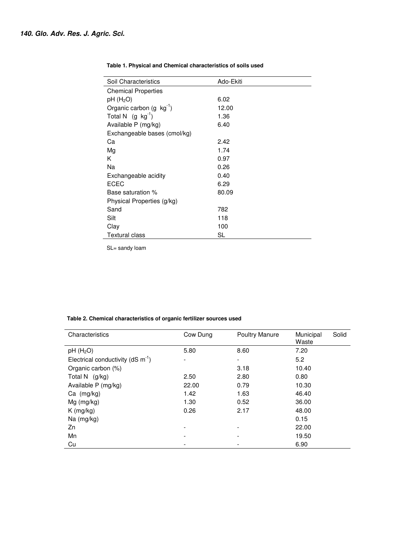| Soil Characteristics           | Ado-Ekiti |  |
|--------------------------------|-----------|--|
| <b>Chemical Properties</b>     |           |  |
| pH(H <sub>2</sub> O)           | 6.02      |  |
| Organic carbon $(g \ kg^{-1})$ | 12.00     |  |
| Total N $(g \text{ kg}^{-1})$  | 1.36      |  |
| Available P (mg/kg)            | 6.40      |  |
| Exchangeable bases (cmol/kg)   |           |  |
| Ca                             | 2.42      |  |
| Mg                             | 1.74      |  |
| Κ                              | 0.97      |  |
| Nа                             | 0.26      |  |
| Exchangeable acidity           | 0.40      |  |
| ECEC                           | 6.29      |  |
| Base saturation %              | 80.09     |  |
| Physical Properties (g/kg)     |           |  |
| Sand                           | 782       |  |
| Silt                           | 118       |  |
| Clay                           | 100       |  |
| <b>Textural class</b>          | SL        |  |

#### **Table 1. Physical and Chemical characteristics of soils used**

SL= sandy loam

#### **Table 2. Chemical characteristics of organic fertilizer sources used**

| Characteristics                                 | Cow Dung | <b>Poultry Manure</b>    | Municipal<br>Waste | Solid |
|-------------------------------------------------|----------|--------------------------|--------------------|-------|
| $pH$ (H <sub>2</sub> O)                         | 5.80     | 8.60                     | 7.20               |       |
| Electrical conductivity ( $dS \text{ m}^{-1}$ ) | -        | -                        | 5.2                |       |
| Organic carbon (%)                              |          | 3.18                     | 10.40              |       |
| Total N $(g/kg)$                                | 2.50     | 2.80                     | 0.80               |       |
| Available P (mg/kg)                             | 22.00    | 0.79                     | 10.30              |       |
| $Ca$ (mg/kg)                                    | 1.42     | 1.63                     | 46.40              |       |
| Mg (mg/kg)                                      | 1.30     | 0.52                     | 36.00              |       |
| $K$ (mg/kg)                                     | 0.26     | 2.17                     | 48.00              |       |
| Na (mg/kg)                                      |          |                          | 0.15               |       |
| Zn                                              |          |                          | 22.00              |       |
| Mn                                              |          | $\overline{\phantom{0}}$ | 19.50              |       |
| Cu                                              |          |                          | 6.90               |       |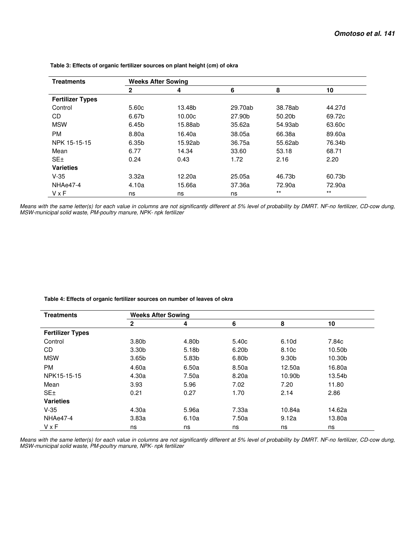| <b>Treatments</b>       | <b>Weeks After Sowing</b> |         |         |         |        |  |  |
|-------------------------|---------------------------|---------|---------|---------|--------|--|--|
|                         | $\mathbf{2}$              | 4       | 6       | 8       | 10     |  |  |
| <b>Fertilizer Types</b> |                           |         |         |         |        |  |  |
| Control                 | 5.60c                     | 13.48b  | 29.70ab | 38.78ab | 44.27d |  |  |
| CD                      | 6.67b                     | 10.00c  | 27.90b  | 50.20b  | 69.72c |  |  |
| <b>MSW</b>              | 6.45b                     | 15.88ab | 35.62a  | 54.93ab | 63.60c |  |  |
| <b>PM</b>               | 8.80a                     | 16.40a  | 38.05a  | 66.38a  | 89.60a |  |  |
| NPK 15-15-15            | 6.35b                     | 15.92ab | 36.75a  | 55.62ab | 76.34b |  |  |
| Mean                    | 6.77                      | 14.34   | 33.60   | 53.18   | 68.71  |  |  |
| SE <sub>±</sub>         | 0.24                      | 0.43    | 1.72    | 2.16    | 2.20   |  |  |
| <b>Varieties</b>        |                           |         |         |         |        |  |  |
| $V-35$                  | 3.32a                     | 12.20a  | 25.05a  | 46.73b  | 60.73b |  |  |
| NHAe47-4                | 4.10a                     | 15.66a  | 37.36a  | 72.90a  | 72.90a |  |  |
| VxF                     | ns                        | ns      | ns      | $***$   | $***$  |  |  |

 **Table 3: Effects of organic fertilizer sources on plant height (cm) of okra** 

*Means with the same letter(s) for each value in columns are not significantly different at 5% level of probability by DMRT. NF-no fertilizer, CD-cow dung, MSW-municipal solid waste, PM-poultry manure, NPK- npk fertilizer*

 **Table 4: Effects of organic fertilizer sources on number of leaves of okra** 

| <b>Treatments</b>       | <b>Weeks After Sowing</b> |       |                   |        |        |  |  |
|-------------------------|---------------------------|-------|-------------------|--------|--------|--|--|
|                         | $\mathbf{2}$              | 4     | 6                 | 8      | 10     |  |  |
| <b>Fertilizer Types</b> |                           |       |                   |        |        |  |  |
| Control                 | 3.80 <sub>b</sub>         | 4.80b | 5.40 <sub>c</sub> | 6.10d  | 7.84c  |  |  |
| CD                      | 3.30 <sub>b</sub>         | 5.18b | 6.20 <sub>b</sub> | 8.10c  | 10.50b |  |  |
| <b>MSW</b>              | 3.65 <sub>b</sub>         | 5.83b | 6.80b             | 9.30b  | 10.30b |  |  |
| <b>PM</b>               | 4.60a                     | 6.50a | 8.50a             | 12.50a | 16.80a |  |  |
| NPK15-15-15             | 4.30a                     | 7.50a | 8.20a             | 10.90b | 13.54b |  |  |
| Mean                    | 3.93                      | 5.96  | 7.02              | 7.20   | 11.80  |  |  |
| SE <sub>±</sub>         | 0.21                      | 0.27  | 1.70              | 2.14   | 2.86   |  |  |
| <b>Varieties</b>        |                           |       |                   |        |        |  |  |
| $V-35$                  | 4.30a                     | 5.96a | 7.33a             | 10.84a | 14.62a |  |  |
| NHAe47-4                | 3.83a                     | 6.10a | 7.50a             | 9.12a  | 13.80a |  |  |
| <b>V</b> x F            | ns                        | ns    | ns                | ns     | ns     |  |  |

*Means with the same letter(s) for each value in columns are not significantly different at 5% level of probability by DMRT. NF-no fertilizer, CD-cow dung, MSW-municipal solid waste, PM-poultry manure, NPK- npk fertilizer*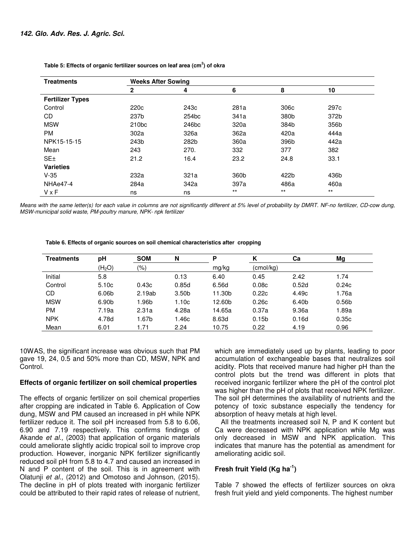| <b>Treatments</b>       | <b>Weeks After Sowing</b> |                   |       |                  |                  |  |  |
|-------------------------|---------------------------|-------------------|-------|------------------|------------------|--|--|
|                         | 2                         | 4                 | 6     | 8                | 10               |  |  |
| <b>Fertilizer Types</b> |                           |                   |       |                  |                  |  |  |
| Control                 | 220 <sub>c</sub>          | 243c              | 281a  | 306 <sub>c</sub> | 297 <sub>c</sub> |  |  |
| CD                      | 237b                      | 254 <sub>bc</sub> | 341a  | 380b             | 372b             |  |  |
| <b>MSW</b>              | 210 <sub>bc</sub>         | 246 <sub>bc</sub> | 320a  | 384b             | 356b             |  |  |
| <b>PM</b>               | 302a                      | 326a              | 362a  | 420a             | 444a             |  |  |
| NPK15-15-15             | 243b                      | 282b              | 360a  | 396b             | 442a             |  |  |
| Mean                    | 243                       | 270.              | 332   | 377              | 382              |  |  |
| SE <sub>±</sub>         | 21.2                      | 16.4              | 23.2  | 24.8             | 33.1             |  |  |
| <b>Varieties</b>        |                           |                   |       |                  |                  |  |  |
| $V-35$                  | 232a                      | 321a              | 360b  | 422b             | 436b             |  |  |
| NHAe47-4                | 284a                      | 342a              | 397a  | 486a             | 460a             |  |  |
| $V \times F$            | ns                        | ns                | $***$ | $***$            | $***$            |  |  |

 **Table 5: Effects of organic fertilizer sources on leaf area (cm<sup>2</sup> ) of okra** 

*Means with the same letter(s) for each value in columns are not significantly different at 5% level of probability by DMRT. NF-no fertilizer, CD-cow dung, MSW-municipal solid waste, PM-poultry manure, NPK- npk fertilizer*

#### **Table 6. Effects of organic sources on soil chemical characteristics after cropping**

| <b>Treatments</b> | рH                 | <b>SOM</b> | N                 | P      |                   | Сa    | Mg                |
|-------------------|--------------------|------------|-------------------|--------|-------------------|-------|-------------------|
|                   | (H <sub>2</sub> O) | (9/6)      |                   | mg/kg  | (cmol/ka)         |       |                   |
| Initial           | 5.8                |            | 0.13              | 6.40   | 0.45              | 2.42  | .74               |
| Control           | 5.10c              | 0.43c      | 0.85d             | 6.56d  | 0.08c             | 0.52d | 0.24c             |
| CD                | 6.06b              | 2.19ab     | 3.50 <sub>b</sub> | 11.30b | 0.22c             | 4.49c | l.76a             |
| <b>MSW</b>        | 6.90b              | 1.96b      | 1.10c             | 12.60b | 0.26c             | 6.40b | 0.56 <sub>b</sub> |
| РM                | 7.19a              | 2.31a      | 4.28a             | 14.65a | 0.37a             | 9.36a | l.89a             |
| <b>NPK</b>        | 4.78d              | l.67b      | 1.46c             | 8.63d  | 0.15 <sub>b</sub> | 0.16d | 0.35c             |
| Mean              | 6.01               | .71        | 2.24              | 10.75  | 0.22              | 4.19  | 0.96              |

10WAS, the significant increase was obvious such that PM gave 19, 24, 0.5 and 50% more than CD, MSW, NPK and Control.

#### **Effects of organic fertilizer on soil chemical properties**

The effects of organic fertilizer on soil chemical properties after cropping are indicated in Table 6. Application of Cow dung, MSW and PM caused an increased in pH while NPK fertilizer reduce it. The soil pH increased from 5.8 to 6.06, 6.90 and 7.19 respectively. This confirms findings of Akande *et al.,* (2003) that application of organic materials could ameliorate slightly acidic tropical soil to improve crop production. However, inorganic NPK fertilizer significantly reduced soil pH from 5.8 to 4.7 and caused an increased in N and P content of the soil. This is in agreement with Olatunji *et al.,* (2012) and Omotoso and Johnson, (2015). The decline in pH of plots treated with inorganic fertilizer could be attributed to their rapid rates of release of nutrient,

which are immediately used up by plants, leading to poor accumulation of exchangeable bases that neutralizes soil acidity. Plots that received manure had higher pH than the control plots but the trend was different in plots that received inorganic fertilizer where the pH of the control plot was higher than the pH of plots that received NPK fertilizer. The soil pH determines the availability of nutrients and the potency of toxic substance especially the tendency for absorption of heavy metals at high level.

All the treatments increased soil N, P and K content but Ca were decreased with NPK application while Mg was only decreased in MSW and NPK application. This indicates that manure has the potential as amendment for ameliorating acidic soil.

## **Fresh fruit Yield (Kg ha-1)**

Table 7 showed the effects of fertilizer sources on okra fresh fruit yield and yield components. The highest number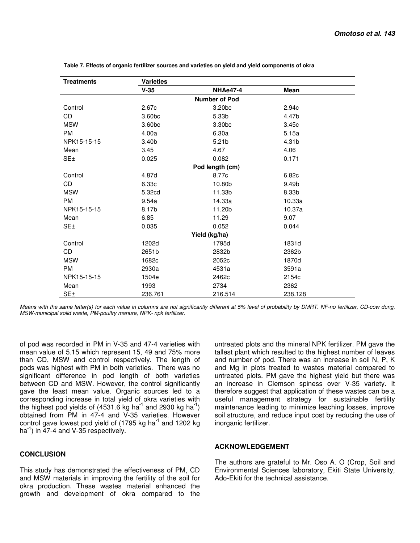| <b>Treatments</b> | <b>Varieties</b>   |                      |         |
|-------------------|--------------------|----------------------|---------|
|                   | $V-35$             | NHAe47-4             | Mean    |
|                   |                    | <b>Number of Pod</b> |         |
| Control           | 2.67c              | 3.20bc               | 2.94c   |
| CD                | 3.60 <sub>bc</sub> | 5.33b                | 4.47b   |
| <b>MSW</b>        | 3.60bc             | 3.30 <sub>bc</sub>   | 3.45c   |
| <b>PM</b>         | 4.00a              | 6.30a                | 5.15a   |
| NPK15-15-15       | 3.40 <sub>b</sub>  | 5.21 <sub>b</sub>    | 4.31b   |
| Mean              | 3.45               | 4.67                 | 4.06    |
| SE <sub>±</sub>   | 0.025              | 0.082                | 0.171   |
|                   |                    | Pod length (cm)      |         |
| Control           | 4.87d              | 8.77c                | 6.82c   |
| CD                | 6.33c              | 10.80b               | 9.49b   |
| <b>MSW</b>        | 5.32cd             | 11.33b               | 8.33b   |
| <b>PM</b>         | 9.54a              | 14.33a               | 10.33a  |
| NPK15-15-15       | 8.17b              | 11.20b               | 10.37a  |
| Mean              | 6.85               | 11.29                | 9.07    |
| SE <sub>±</sub>   | 0.035              | 0.052                | 0.044   |
|                   |                    | Yield (kg/ha)        |         |
| Control           | 1202d              | 1795d                | 1831d   |
| CD                | 2651b              | 2832b                | 2362b   |
| <b>MSW</b>        | 1682c              | 2052c                | 1870d   |
| <b>PM</b>         | 2930a              | 4531a                | 3591a   |
| NPK15-15-15       | 1504e              | 2462c                | 2154c   |
| Mean              | 1993               | 2734                 | 2362    |
| SE <sub>±</sub>   | 236.761            | 216.514              | 238.128 |

 **Table 7. Effects of organic fertilizer sources and varieties on yield and yield components of okra** 

*Means with the same letter(s) for each value in columns are not significantly different at 5% level of probability by DMRT. NF-no fertilizer, CD-cow dung, MSW-municipal solid waste, PM-poultry manure, NPK- npk fertilizer.*

of pod was recorded in PM in V-35 and 47-4 varieties with mean value of 5.15 which represent 15, 49 and 75% more than CD, MSW and control respectively. The length of pods was highest with PM in both varieties. There was no significant difference in pod length of both varieties between CD and MSW. However, the control significantly gave the least mean value. Organic sources led to a corresponding increase in total yield of okra varieties with the highest pod yields of (4531.6 kg ha<sup>-1</sup> and 2930 kg ha<sup>-1</sup>) obtained from PM in 47-4 and V-35 varieties. However control gave lowest pod yield of  $(1795 \text{ kg ha}^{-1})$  and  $1202 \text{ kg}$  $ha^{-1}$ ) in 47-4 and V-35 respectively.

#### **CONCLUSION**

This study has demonstrated the effectiveness of PM, CD and MSW materials in improving the fertility of the soil for okra production. These wastes material enhanced the growth and development of okra compared to the untreated plots and the mineral NPK fertilizer. PM gave the tallest plant which resulted to the highest number of leaves and number of pod. There was an increase in soil N, P, K and Mg in plots treated to wastes material compared to untreated plots. PM gave the highest yield but there was an increase in Clemson spiness over V-35 variety. It therefore suggest that application of these wastes can be a useful management strategy for sustainable fertility maintenance leading to minimize leaching losses, improve soil structure, and reduce input cost by reducing the use of inorganic fertilizer.

#### **ACKNOWLEDGEMENT**

The authors are grateful to Mr. Oso A. O (Crop, Soil and Environmental Sciences laboratory, Ekiti State University, Ado-Ekiti for the technical assistance.